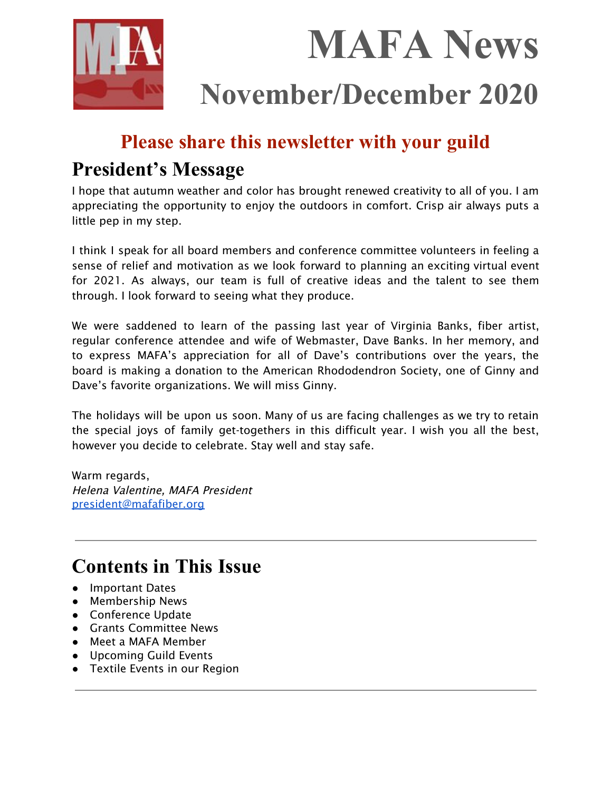

 **MAFA News November/December 2020**

## **Please share this newsletter with your guild**

## **President's Message**

I hope that autumn weather and color has brought renewed creativity to all of you. I am appreciating the opportunity to enjoy the outdoors in comfort. Crisp air always puts a little pep in my step.

I think I speak for all board members and conference committee volunteers in feeling a sense of relief and motivation as we look forward to planning an exciting virtual event for 2021. As always, our team is full of creative ideas and the talent to see them through. I look forward to seeing what they produce.

We were saddened to learn of the passing last year of Virginia Banks, fiber artist, regular conference attendee and wife of Webmaster, Dave Banks. In her memory, and to express MAFA's appreciation for all of Dave's contributions over the years, the board is making a donation to the American Rhododendron Society, one of Ginny and Dave's favorite organizations. We will miss Ginny.

The holidays will be upon us soon. Many of us are facing challenges as we try to retain the special joys of family get-togethers in this difficult year. I wish you all the best, however you decide to celebrate. Stay well and stay safe.

Warm regards, Helena Valentine, MAFA President [president@mafafiber.org](mailto:president@mafafiber.org)

## **Contents in This Issue**

- Important Dates
- Membership News
- Conference Update
- Grants Committee News
- Meet a MAFA Member
- Upcoming Guild Events
- Textile Events in our Region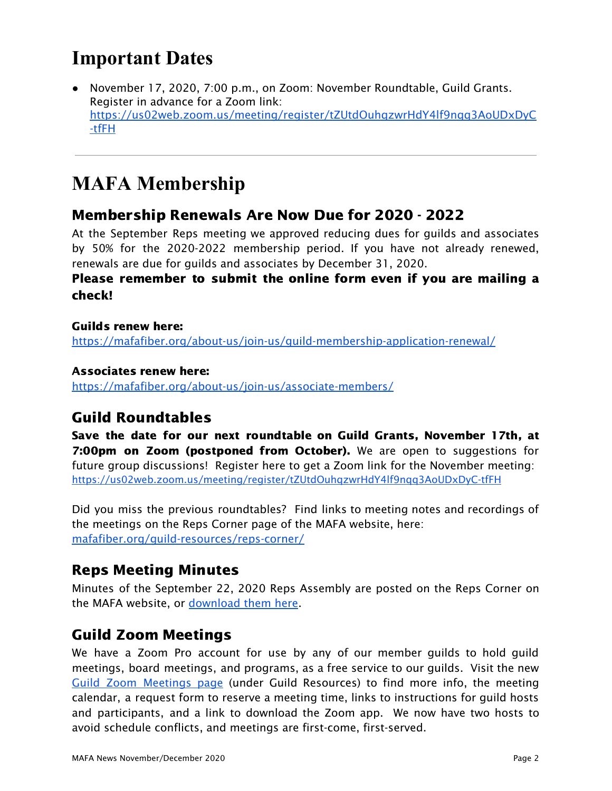## **Important Dates**

● November 17, 2020, 7:00 p.m., on Zoom: November Roundtable, Guild Grants. Register in advance for a Zoom link: [https://us02web.zoom.us/meeting/register/tZUtdOuhqzwrHdY4lf9nqq3AoUDxDyC](https://us02web.zoom.us/meeting/register/tZUtdOuhqzwrHdY4lf9nqq3AoUDxDyC-tfFH) [-tfFH](https://us02web.zoom.us/meeting/register/tZUtdOuhqzwrHdY4lf9nqq3AoUDxDyC-tfFH)

## **MAFA Membership**

### Membership Renewals Are Now Due for 2020 - 2022

At the September Reps meeting we approved reducing dues for guilds and associates by 50% for the 2020-2022 membership period. If you have not already renewed, renewals are due for guilds and associates by December 31, 2020.

#### Please remember to submit the online form even if you are mailing a check!

#### Guilds renew here:

<https://mafafiber.org/about-us/join-us/guild-membership-application-renewal/>

#### Associates renew here:

<https://mafafiber.org/about-us/join-us/associate-members/>

## Guild Roundtables

Save the date for our next roundtable on Guild Grants, November 17th, at 7:00pm on Zoom (postponed from October). We are open to suggestions for future group discussions! Register here to get a Zoom link for the November meeting: <https://us02web.zoom.us/meeting/register/tZUtdOuhqzwrHdY4lf9nqq3AoUDxDyC-tfFH>

Did you miss the previous roundtables? Find links to meeting notes and recordings of the meetings on the Reps Corner page of the MAFA website, here: [mafafiber.org/guild-resources/reps-corner/](https://mafafiber.org/guild-resources/reps-corner/)

### Reps Meeting Minutes

Minutes of the September 22, 2020 Reps Assembly are posted on the Reps Corner on the MAFA website, or [download](https://mafafiber.org/wp-content/uploads/Reps-Meetings/RepsMeetingMinutes9_22_2020.pdf) them here.

### Guild Zoom Meetings

We have a Zoom Pro account for use by any of our member guilds to hold guild meetings, board meetings, and programs, as a free service to our guilds. Visit the new Guild Zoom [Meetings](https://mafafiber.org/guild-resources/guild-zoom-meetings/) page (under Guild Resources) to find more info, the meeting calendar, a request form to reserve a meeting time, links to instructions for guild hosts and participants, and a link to download the Zoom app. We now have two hosts to avoid schedule conflicts, and meetings are first-come, first-served.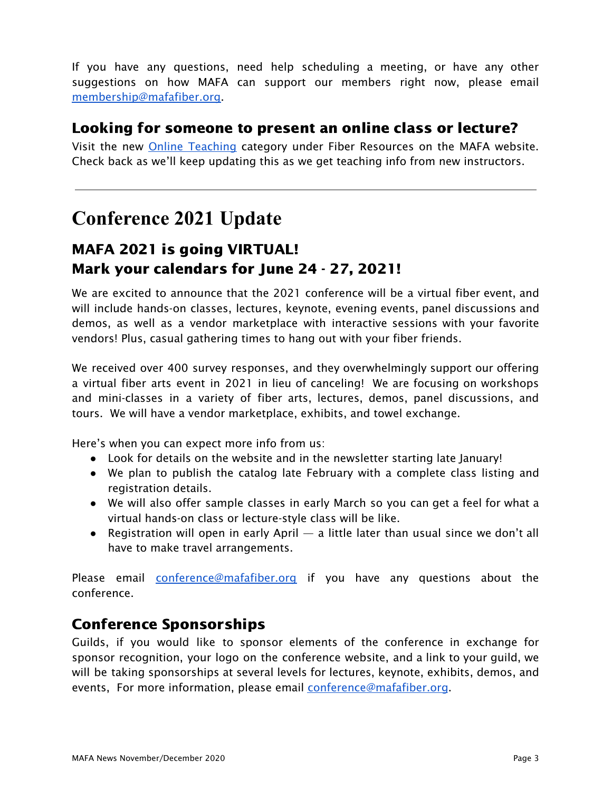If you have any questions, need help scheduling a meeting, or have any other suggestions on how MAFA can support our members right now, please email [membership@mafafiber.org.](mailto:membership@mafafiber.org)

### Looking for someone to present an online class or lecture?

Visit the new Online [Teaching](https://mafafiber.org/resource_category/online-teaching/) category under Fiber Resources on the MAFA website. Check back as we'll keep updating this as we get teaching info from new instructors.

## **Conference 2021 Update**

## MAFA 2021 is going VIRTUAL! Mark your calendars for June 24 - 27, 2021!

We are excited to announce that the 2021 conference will be a virtual fiber event, and will include hands-on classes, lectures, keynote, evening events, panel discussions and demos, as well as a vendor marketplace with interactive sessions with your favorite vendors! Plus, casual gathering times to hang out with your fiber friends.

We received over 400 survey responses, and they overwhelmingly support our offering a virtual fiber arts event in 2021 in lieu of canceling! We are focusing on workshops and mini-classes in a variety of fiber arts, lectures, demos, panel discussions, and tours. We will have a vendor marketplace, exhibits, and towel exchange.

Here's when you can expect more info from us:

- Look for details on the website and in the newsletter starting late January!
- We plan to publish the catalog late February with a complete class listing and registration details.
- We will also offer sample classes in early March so you can get a feel for what a virtual hands-on class or lecture-style class will be like.
- Registration will open in early April  $-$  a little later than usual since we don't all have to make travel arrangements.

Please email **[conference@mafafiber.org](mailto:conference@mafafiber.org)** if you have any questions about the conference.

### Conference Sponsorships

Guilds, if you would like to sponsor elements of the conference in exchange for sponsor recognition, your logo on the conference website, and a link to your guild, we will be taking sponsorships at several levels for lectures, keynote, exhibits, demos, and events, For more information, please email [conference@mafafiber.org](mailto:conference@mafafiber.org).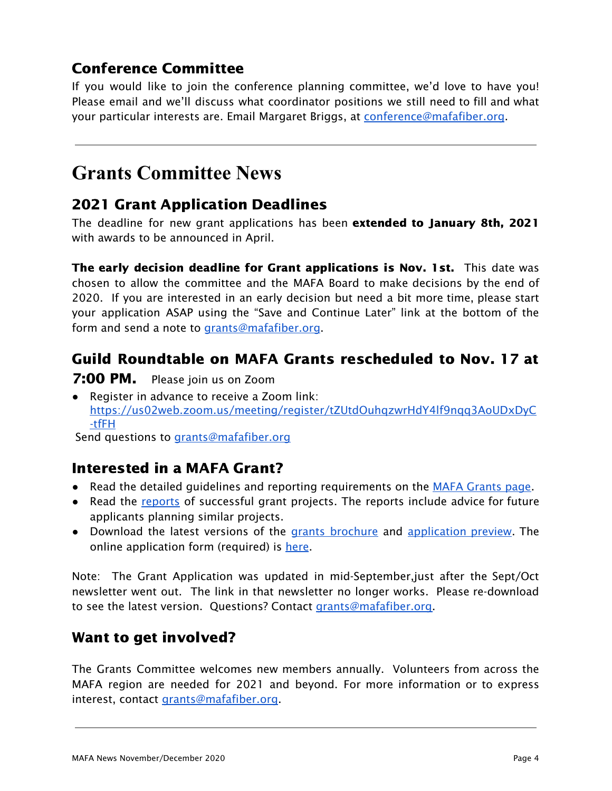## Conference Committee

If you would like to join the conference planning committee, we'd love to have you! Please email and we'll discuss what coordinator positions we still need to fill and what your particular interests are. Email Margaret Briggs, at [conference@mafafiber.org](mailto:conference@mafafiber.org).

## **Grants Committee News**

## 2021 Grant Application Deadlines

The deadline for new grant applications has been extended to January 8th, 2021 with awards to be announced in April.

The early decision deadline for Grant applications is Nov. 1st. This date was chosen to allow the committee and the MAFA Board to make decisions by the end of 2020. If you are interested in an early decision but need a bit more time, please start your application ASAP using the "Save and Continue Later" link at the bottom of the form and send a note to [grants@mafafiber.org](mailto:grants@mafafiber.org).

## Guild Roundtable on MAFA Grants rescheduled to Nov. 17 at

#### 7:00 PM. Please join us on Zoom

● Register in advance to receive a Zoom link: [https://us02web.zoom.us/meeting/register/tZUtdOuhqzwrHdY4lf9nqq3AoUDxDyC](https://us02web.zoom.us/meeting/register/tZUtdOuhqzwrHdY4lf9nqq3AoUDxDyC-tfFH) [-tfFH](https://us02web.zoom.us/meeting/register/tZUtdOuhqzwrHdY4lf9nqq3AoUDxDyC-tfFH)

Send questions to [grants@mafafiber.org](mailto:grants@mafafiber.org)

## Interested in a MAFA Grant?

- Read the detailed guidelines and reporting requirements on the MAFA [Grants](https://mafafiber.org/grants/guild-grants/) [page.](https://mafafiber.org/grants/guild-grants/)
- Read the [reports](https://mafafiber.org/grants/guild-grants/grant-awards/) of successful grant projects. The reports include advice for future applicants planning similar projects.
- Download the latest versions of the grants [brochure](https://mafafiber.org/wp-content/uploads/Grants/Grants-Brochure_0619.pdf) and [application](https://mafafiber.org/wp-content/uploads/Forms/MAFA-GRANT-APPLICATION-preview.pdf) preview. The online application form (required) is [here](https://mafafiber.org/grants/guild-grants/grant-application/).

Note: The Grant Application was updated in mid-September,just after the Sept/Oct newsletter went out. The link in that newsletter no longer works. Please re-download to see the latest version. Questions? Contact [grants@mafafiber.org.](mailto:grants@mafafiber.org)

### Want to get involved?

The Grants Committee welcomes new members annually. Volunteers from across the MAFA region are needed for 2021 and beyond. For more information or to express interest, contact [grants@mafafiber.org](mailto:grants@mafafiber.org).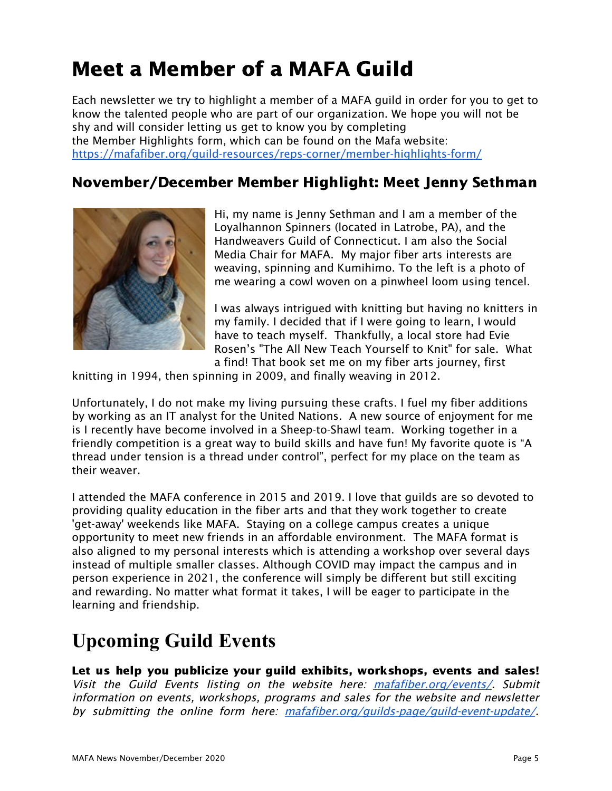# Meet a Member of a MAFA Guild

Each newsletter we try to highlight a member of a MAFA guild in order for you to get to know the talented people who are part of our organization. We hope you will not be shy and will consider letting us get to know you by completing the Member Highlights form, which can be found on the Mafa website: <https://mafafiber.org/guild-resources/reps-corner/member-highlights-form/>

### November/December Member Highlight: Meet Jenny Sethman



Hi, my name is Jenny Sethman and I am a member of the Loyalhannon Spinners (located in Latrobe, PA), and the Handweavers Guild of Connecticut. I am also the Social Media Chair for MAFA. My major fiber arts interests are weaving, spinning and Kumihimo. To the left is a photo of me wearing a cowl woven on a pinwheel loom using tencel.

I was always intrigued with knitting but having no knitters in my family. I decided that if I were going to learn, I would have to teach myself. Thankfully, a local store had Evie Rosen's "The All New Teach Yourself to Knit" for sale. What a find! That book set me on my fiber arts journey, first

knitting in 1994, then spinning in 2009, and finally weaving in 2012.

Unfortunately, I do not make my living pursuing these crafts. I fuel my fiber additions by working as an IT analyst for the United Nations. A new source of enjoyment for me is I recently have become involved in a Sheep-to-Shawl team. Working together in a friendly competition is a great way to build skills and have fun! My favorite quote is "A thread under tension is a thread under control", perfect for my place on the team as their weaver.

I attended the MAFA conference in 2015 and 2019. I love that guilds are so devoted to providing quality education in the fiber arts and that they work together to create 'get-away' weekends like MAFA. Staying on a college campus creates a unique opportunity to meet new friends in an affordable environment. The MAFA format is also aligned to my personal interests which is attending a workshop over several days instead of multiple smaller classes. Although COVID may impact the campus and in person experience in 2021, the conference will simply be different but still exciting and rewarding. No matter what format it takes, I will be eager to participate in the learning and friendship.

## **Upcoming Guild Events**

Let us help you publicize your guild exhibits, workshops, events and sales! Visit the Guild Events listing on the website here: [mafafiber.org/events/](https://mafafiber.org/events/). Submit information on events, workshops, programs and sales for the website and newsletter by submitting the online form here: [mafafiber.org/guilds-page/guild-event-update/](https://mafafiber.org/guilds-page/guild-event-update/).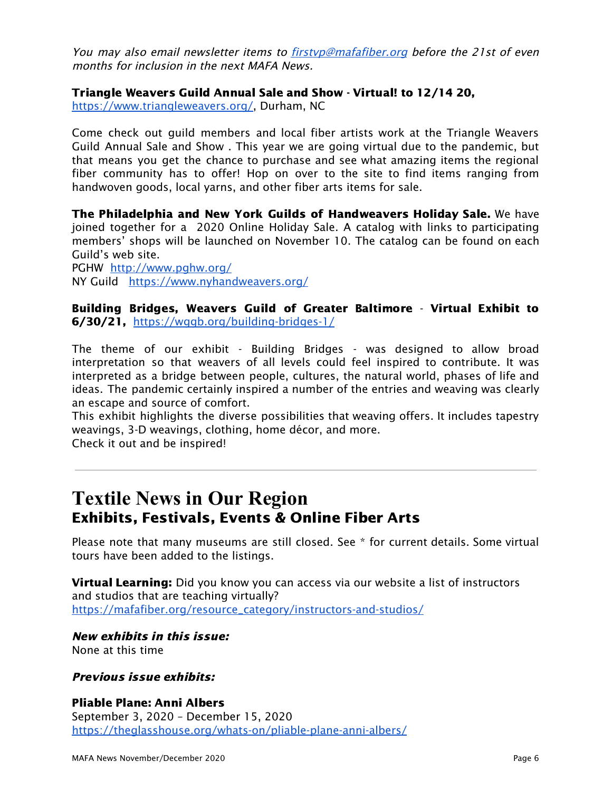You may also email newsletter items to [firstvp@mafafiber.org](mailto:firstvp@mafafiber.org) before the 21st of even months for inclusion in the next MAFA News.

#### Triangle Weavers Guild Annual Sale and Show - Virtual! to 12/14 20,

[https://www.triangleweavers.org/,](https://www.triangleweavers.org/) Durham, NC

Come check out guild members and local fiber artists work at the Triangle Weavers Guild Annual Sale and Show . This year we are going virtual due to the pandemic, but that means you get the chance to purchase and see what amazing items the regional fiber community has to offer! Hop on over to the site to find items ranging from handwoven goods, local yarns, and other fiber arts items for sale.

The Philadelphia and New York Guilds of Handweavers Holiday Sale. We have joined together for a 2020 Online Holiday Sale. A catalog with links to participating members' shops will be launched on November 10. The catalog can be found on each Guild's web site.

PGHW <http://www.pghw.org/> NY Guild <https://www.nyhandweavers.org/>

Building Bridges, Weavers Guild of Greater Baltimore - Virtual Exhibit to 6/30/21, <https://wggb.org/building-bridges-1/>

The theme of our exhibit - Building Bridges - was designed to allow broad interpretation so that weavers of all levels could feel inspired to contribute. It was interpreted as a bridge between people, cultures, the natural world, phases of life and ideas. The pandemic certainly inspired a number of the entries and weaving was clearly an escape and source of comfort.

This exhibit highlights the diverse possibilities that weaving offers. It includes tapestry weavings, 3-D weavings, clothing, home décor, and more. Check it out and be inspired!

## **Textile News in Our Region** Exhibits, Festivals, Events & Online Fiber Arts

Please note that many museums are still closed. See \* for current details. Some virtual tours have been added to the listings.

**Virtual Learning:** Did you know you can access via our website a list of instructors and studios that are teaching virtually? [https://mafafiber.org/resource\\_category/instructors-and-studios/](https://mafafiber.org/resource_category/instructors-and-studios/)

New exhibits in this issue: None at this time

#### Previous issue exhibits:

#### Pliable Plane: Anni Albers

September 3, 2020 – December 15, 2020 <https://theglasshouse.org/whats-on/pliable-plane-anni-albers/>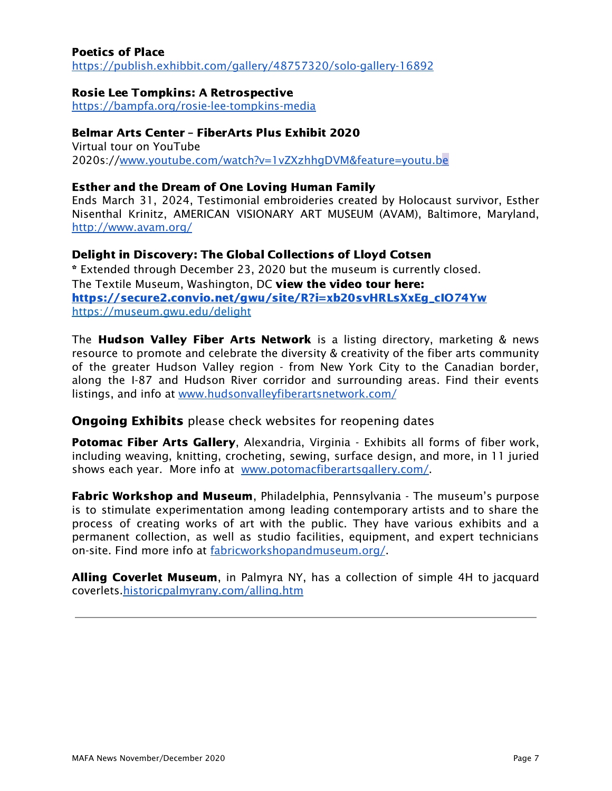#### Poetics of Place

<https://publish.exhibbit.com/gallery/48757320/solo-gallery-16892>

#### Rosie Lee Tompkins: A Retrospective

<https://bampfa.org/rosie-lee-tompkins-media>

#### Belmar Arts Center – FiberArts Plus Exhibit 2020

Virtual tour on YouTube 2020s://[www.youtube.com/watch?v=1vZXzhhgDVM&feature=youtu.be](http://www.youtube.com/watch?v=1vZXzhhgDVM&feature=youtu.be)

#### Esther and the Dream of One Loving Human Family

Ends March 31, 2024, Testimonial embroideries created by Holocaust survivor, Esther Nisenthal Krinitz, AMERICAN VISIONARY ART MUSEUM (AVAM), Baltimore, Maryland, <http://www.avam.org/>

#### Delight in Discovery: The Global Collections of Lloyd Cotsen

\* Extended through December 23, 2020 but the museum is currently closed. The Textile Museum, Washington, DC view the video tour here: [https://secure2.convio.net/gwu/site/R?i=xb20svHRLsXxEg\\_cIO74Yw](https://secure2.convio.net/gwu/site/R?i=xb20svHRLsXxEg_cIO74Yw) https://museum.gwu.edu/delight

The **Hudson Valley Fiber Arts Network** is a listing directory, marketing & news resource to promote and celebrate the diversity & creativity of the fiber arts community of the greater Hudson Valley region - from New York City to the Canadian border, along the I-87 and Hudson River corridor and surrounding areas. Find their events listings, and info at [www.hudsonvalleyfiberartsnetwork.com/](http://www.hudsonvalleyfiberartsnetwork.com/)

#### **Ongoing Exhibits** please check websites for reopening dates

Potomac Fiber Arts Gallery, Alexandria, Virginia - Exhibits all forms of fiber work, including weaving, knitting, crocheting, sewing, surface design, and more, in 11 juried shows each year. More info at [www.potomacfiberartsgallery.com/](http://www.potomacfiberartsgallery.com/).

**Fabric Workshop and Museum**, Philadelphia, Pennsylvania - The museum's purpose is to stimulate experimentation among leading contemporary artists and to share the process of creating works of art with the public. They have various exhibits and a permanent collection, as well as studio facilities, equipment, and expert technicians on-site. Find more info at [fabricworkshopandmuseum.org/.](http://fabricworkshopandmuseum.org/)

Alling Coverlet Museum, in Palmyra NY, has a collection of simple 4H to jacquard coverlets[.historicpalmyrany.com/alling.htm](http://historicpalmyrany.com/alling.htm)